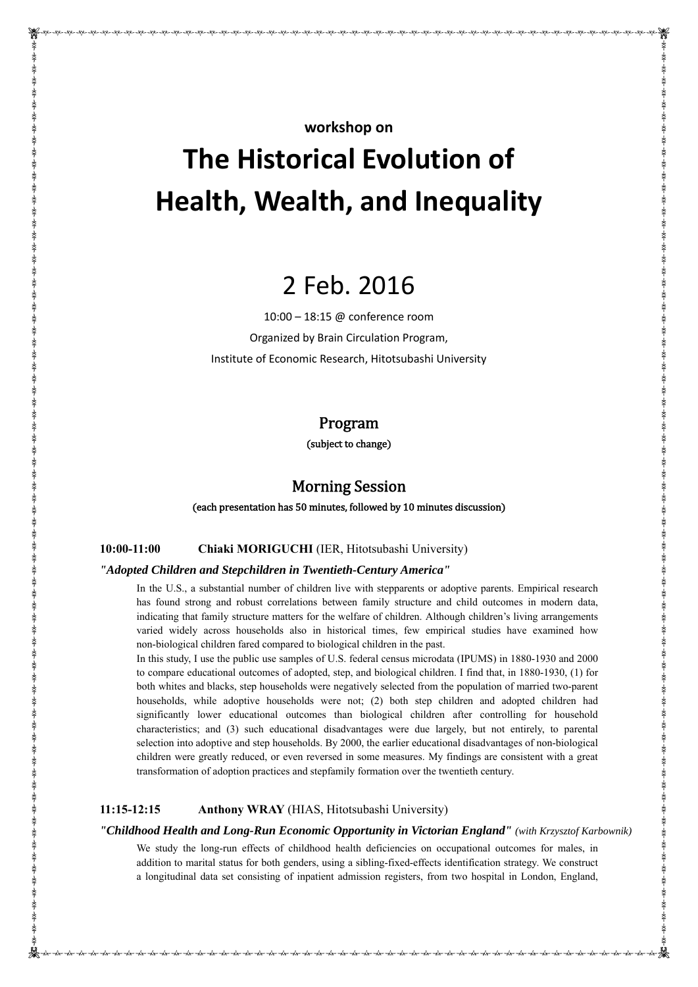# **The Historical Evolution of Health, Wealth, and Inequality**

# 2 Feb. 2016

10:00 – 18:15 @ conference room Organized by Brain Circulation Program, Institute of Economic Research, Hitotsubashi University

# Program

(subject to change)

# **Morning Session**

(each presentation has 50 minutes, followed by 10 minutes discussion)

#### **10:00-11:00 Chiaki MORIGUCHI** (IER, Hitotsubashi University)

#### *"Adopted Children and Stepchildren in Twentieth-Century America"*

In the U.S., a substantial number of children live with stepparents or adoptive parents. Empirical research has found strong and robust correlations between family structure and child outcomes in modern data, indicating that family structure matters for the welfare of children. Although children's living arrangements varied widely across households also in historical times, few empirical studies have examined how non-biological children fared compared to biological children in the past.

In this study, I use the public use samples of U.S. federal census microdata (IPUMS) in 1880-1930 and 2000 to compare educational outcomes of adopted, step, and biological children. I find that, in 1880-1930, (1) for both whites and blacks, step households were negatively selected from the population of married two-parent households, while adoptive households were not; (2) both step children and adopted children had significantly lower educational outcomes than biological children after controlling for household characteristics; and (3) such educational disadvantages were due largely, but not entirely, to parental selection into adoptive and step households. By 2000, the earlier educational disadvantages of non-biological children were greatly reduced, or even reversed in some measures. My findings are consistent with a great transformation of adoption practices and stepfamily formation over the twentieth century.

#### **11:15-12:15 Anthony WRAY** (HIAS, Hitotsubashi University)

#### *"Childhood Health and Long-Run Economic Opportunity in Victorian England" (with Krzysztof Karbownik)*

We study the long-run effects of childhood health deficiencies on occupational outcomes for males, in addition to marital status for both genders, using a sibling-fixed-effects identification strategy. We construct a longitudinal data set consisting of inpatient admission registers, from two hospital in London, England,